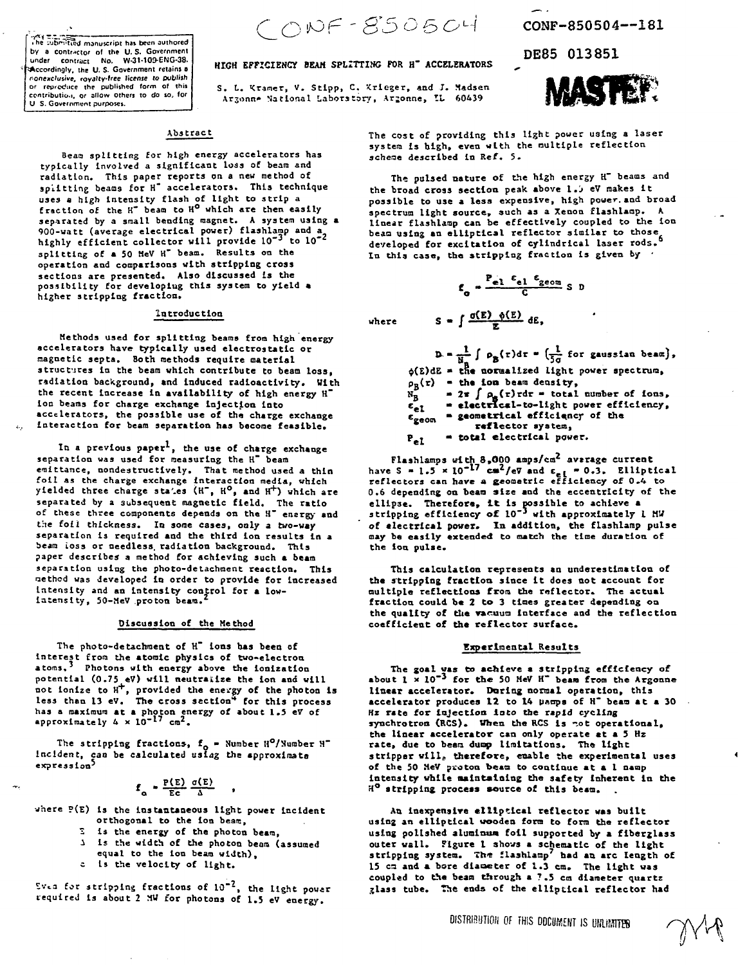**t he -uSTSrTKc i d manuscript has been authored** by a contractor of the U.S. Government under contract No. W-31-109-ENG-38. **^Accordingly, the U. S- Government retains 8 nonexclusive, royalty-free license to publish or reproduce the published form of this cenuibutio.i, or allow others to do so, tor U S. Government purposes.**

 $CONF-B505CH$ 

### **HIGH EFFICIENCY BEAM SPLITTING FOR H" ACCELERATORS**

S. L. "Cramer, V. Stipp, C. Krieger, **and** J. **Madsen** Arjonn\* National Laboratory, **Arjonne, ZL 60439**

CONF-850504—181

DE85 013851

**. s D**



# **Aba tract**

**Beao splitting for high energy accelerators has typically Involved a significant loss of beam and radiation. This paper reports on a new method of splitting beams for H" accelerators. This technique uses a high Intensity flash of light to strip a fraction of the H" beam to H° which are then easily separated by a sraall bending magnet. A system using a 900-watt (average electrical power) flashlarap and a highly efficient collector will provide 10"<sup>3</sup> to 10"<sup>z</sup> splitting of a 50 HeV H" beam. Results on the operation and comparisons with stripping cross sections are presented. Also discussed Is the possibility for developlug this system to yield • higher stripping fraction.**

### **Introduction**

**Methods used for splitting beams from high energy accelerators have- typically used electrostatic or magnetic septa. Both methods require material structures in the beam which contribute to beam Io3s, radiation background, and induced radioactivity. With the recent increase in availability of high energy H" Ion beams for charge exchange Injection into accelerators, the possible use of the charge exchange interaction for beam separation has become feasible.**

In a previous paper<sup>1</sup>, the use of charge exchange **separation was used for measuring the H" beam eraittance, nondestructlvely. That method used a thin foil as the charge exchange Interaction media, which yielded three charge sta'.es (H~, H°, and H+) which are separated by a subsequent magnetic field. The ratio of these three components depends on the H' ensrgy and** the foil thickness. In some cases, only a two-way **separation is required and the third ion results in a seam ioss or needless, radiation background. This paper describes a method for achieving such a beam separation using the photo-detachaent reaction. This uethod was developed In order to provide for Increased** intensity and an intensity control for a low**latenslty, 50-MeV proton beam.**

#### **Discuss too of the Method**

**The photo-detachment of H~ ions has been of Interest from the atomic physics of two-electron atoms.' Photons with energy above the lonlzatlon potential (0.7S eV) will neutralize the Ion and will not Ionize to H<sup>+</sup> , provided the energy of the photon is less than 13 eV. The cross section<sup>14</sup> for this process** has a maximum at a photon energy of about 1.5 eV of<br>has a maximum at a photon energy of about 1.5 eV of

**The stripping fractions-, f0 - Number H°/Suraber H" Incident, can be calculated** *uslag* **the approximate expression<sup>5</sup>**

$$
f_{\alpha} = \frac{P(E)}{E_{c}} \frac{\sigma(E)}{\Delta}
$$

**where ?(E) Is the Instantaneous light power Incident orthogonal to the ion beam,**

- **i Is the energy of the photon beam,**
- **i is the width of the photon beam (assumed equal to the Ion beam width),**
- 
- **c Is the velocity of light.**

*Zv^z* **for stripping fractions of 10"<sup>2</sup> , the light power required is about 2 MU for photons of 1.5 eV energy.**

**The cost of providing this light power using a laser system Is high, even with the nultiple reflection -chesse described in Ref. 5.**

**The pulsed nature of the high energy H" beams and the broad cross section peak above l. j eV makes it possible to use a less expensive, high power, and broad spectrum light source, auch as a Xenon flashlaap.** *k* **linear flashlarap can be effectively coupled to the ion beam using an elliptical reflector similar to those developed for excitation of cylindrical laser rods. In this case, the stripping fraction Is given by •**

$$
\epsilon_{\rm o} = \frac{P_{\rm e1} \epsilon_{\rm e1} \epsilon_{\rm geom}}{C} \, \rm s
$$

 $S = \int \frac{\sigma(E) - \phi(E)}{\pi} dE$ , **uher e**

> $\int \rho_{\mathbf{R}}(\tau) d\tau = \left(\frac{1}{5\pi} \text{ for gaussian beam}\right)$ , **Pg(r) - the toa bean density, the normalized light power spectrum,**  $= 2\pi \int \rho_{\rm g}(\tau) \tau d\tau =$  total number of ions, **- eleetrio-1-to-light power efficiency,**  $\epsilon_{\text{g}}$  = electrical-to-light power errical efficiency of the **reflector system,**

 $P_{eI}$  **- total electrical power.**

**Flashlamps with 8.000 amps/co<sup>2</sup> average current have S - 1.3** *\** **10"<sup>17</sup> c«<sup>2</sup> /e7 and e <sup>e</sup> <sup>l</sup> - 0.3. Elliptical reflectors can have** *a* **geometric efficiency of 0.4 to 0.6 depending on beam size and the eccentricity of the ellipse. Therefore, It is possible to achieve a stripping efficiency of 10\*' with approximately 1 HU of electrical power. In addition, the flashlamp pulse may be easily extended to match the time duration of the ion pulse.**

**This calculation represents an underestimation of the stripping fraction since it does not account for multiple reflections from the reflector. The actual fraction could be 2 to 3 times greater depending on the quality of the vacuum Interface and the reflection coefficient of the reflector surface.**

## **Experimental Results**

**The goal vas to achieve a stripping efficiency of about 1 x 10\*' for the 50 HeV H" bean from the Argonne linear accelerator. Daring normal operation, this accelerator produces 12 to 14 poops of H\* bean at • 30 Hz rate for Injection loco the rapid cycling synchrotron (RCS). When the RCS Is tot operational, the linear accelerator can only operate at • 5 Hz rate, due to bean dump limitations. The light stripper will, therefore, enable the experimental uses of the 50 MeV ptoton beam to continue at a 1 naap Intensity while maintaining the safety Inherent In the H° stripping process source of this beam.**

**An inexpensive elliptical reflector wes built using an elliptical wooden form to form the reflector using polished aluminum foil supported by a fiberglass outer wall. Figure 1 shows a schematic of the light** stripping system. The flashlamp<sup>7</sup> had an arc length of **15 ca and a bore dlaoeter of 1.3 cm. The light was coupled to the beam through a 7.5 co diameter quartz glass tube, the ends of the elliptical reflector had**